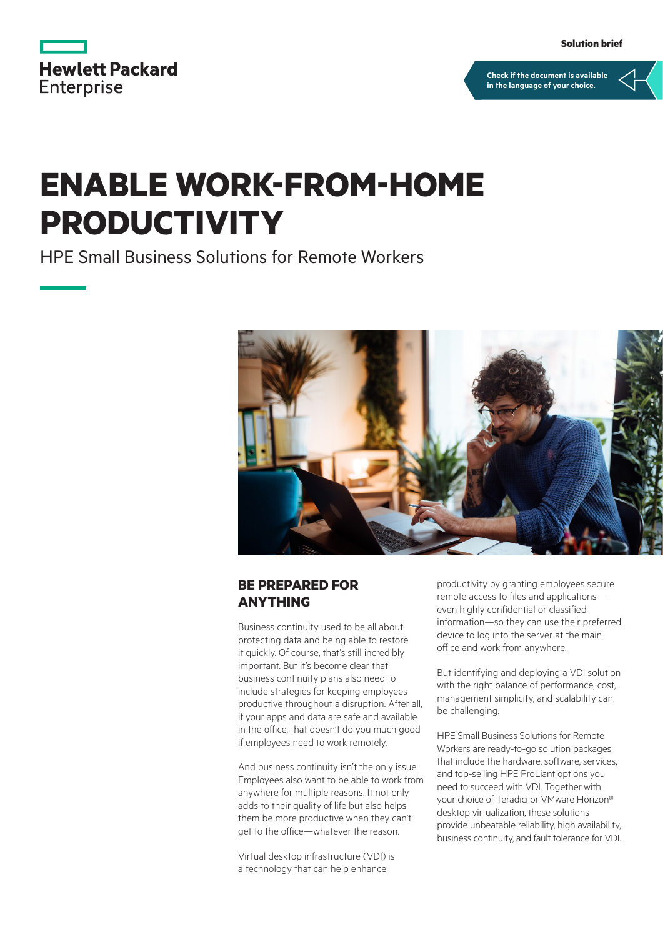|                   | <b>Hewlett Packard</b> |
|-------------------|------------------------|
| <b>Enterprise</b> |                        |

**[Check if the document is available](https://psnow.ext.hpe.com/collection-resources/a50001245ENW)  in the language of your choice.**

# **ENABLE WORK-FROM-HOME PRODUCTIVITY**

HPE Small Business Solutions for Remote Workers



## **BE PREPARED FOR ANYTHING**

Business continuity used to be all about protecting data and being able to restore it quickly. Of course, that's still incredibly important. But it's become clear that business continuity plans also need to include strategies for keeping employees productive throughout a disruption. After all, if your apps and data are safe and available in the office, that doesn't do you much good if employees need to work remotely.

And business continuity isn't the only issue. Employees also want to be able to work from anywhere for multiple reasons. It not only adds to their quality of life but also helps them be more productive when they can't get to the office—whatever the reason.

Virtual desktop infrastructure (VDI) is a technology that can help enhance

productivity by granting employees secure remote access to files and applications even highly confidential or classified information—so they can use their preferred device to log into the server at the main office and work from anywhere.

But identifying and deploying a VDI solution with the right balance of performance, cost, management simplicity, and scalability can be challenging.

HPE Small Business Solutions for Remote Workers are ready-to-go solution packages that include the hardware, software, services, and top-selling HPE ProLiant options you need to succeed with VDI. Together with your choice of Teradici or VMware Horizon® desktop virtualization, these solutions provide unbeatable reliability, high availability, business continuity, and fault tolerance for VDI.